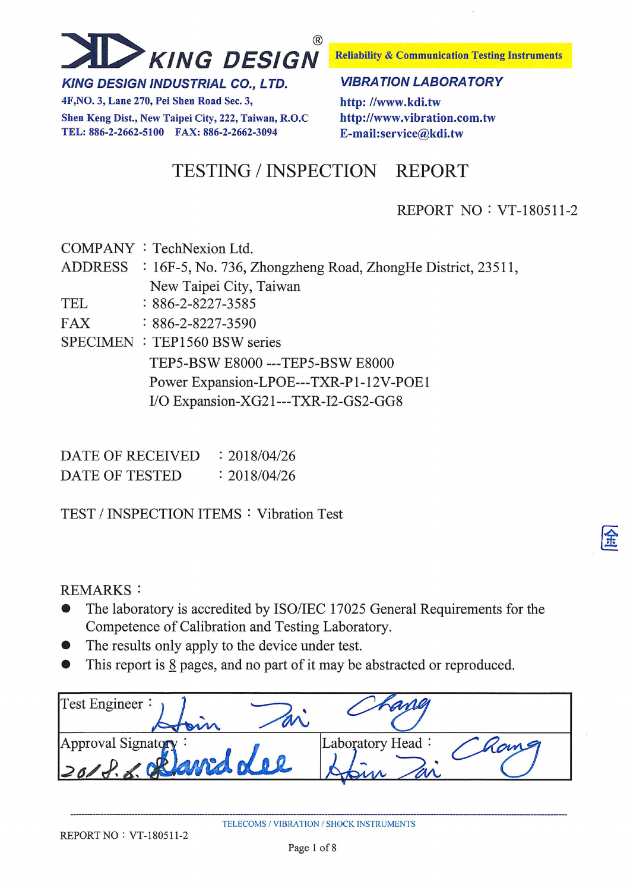

**KING DESIGN INDUSTRIAL CO., LTD.** 

4F, NO. 3, Lane 270, Pei Shen Road Sec. 3, Shen Keng Dist., New Taipei City, 222, Taiwan, R.O.C TEL: 886-2-2662-5100 FAX: 886-2-2662-3094

**Reliability & Communication Testing Instruments** 

#### **VIBRATION LABORATORY**

http://www.kdi.tw http://www.vibration.com.tw E-mail:service@kdi.tw

**TESTING / INSPECTION REPORT** 

### **REPORT NO: VT-180511-2**

COMPANY : TechNexion Ltd.

**ADDRESS**  $\div$  16F-5, No. 736, Zhongzheng Road, ZhongHe District, 23511, New Taipei City, Taiwan

**TEL**  $: 886 - 2 - 8227 - 3585$ 

**FAX**  $: 886 - 2 - 8227 - 3590$ 

SPECIMEN : TEP1560 BSW series

TEP5-BSW E8000 --- TEP5-BSW E8000 Power Expansion-LPOE---TXR-P1-12V-POE1 I/O Expansion-XG21---TXR-I2-GS2-GG8

DATE OF RECEIVED  $: 2018/04/26$ **DATE OF TESTED**  $: 2018/04/26$ 

**TEST / INSPECTION ITEMS: Vibration Test** 

**REMARKS:** 

- The laboratory is accredited by ISO/IEC 17025 General Requirements for the Competence of Calibration and Testing Laboratory.
- The results only apply to the device under test.  $\bullet$
- This report is  $\underline{8}$  pages, and no part of it may be abstracted or reproduced.

| Test Engineer:     | ang              |
|--------------------|------------------|
| Approval Signatory | Laboratory Head: |
| wan of             | nome             |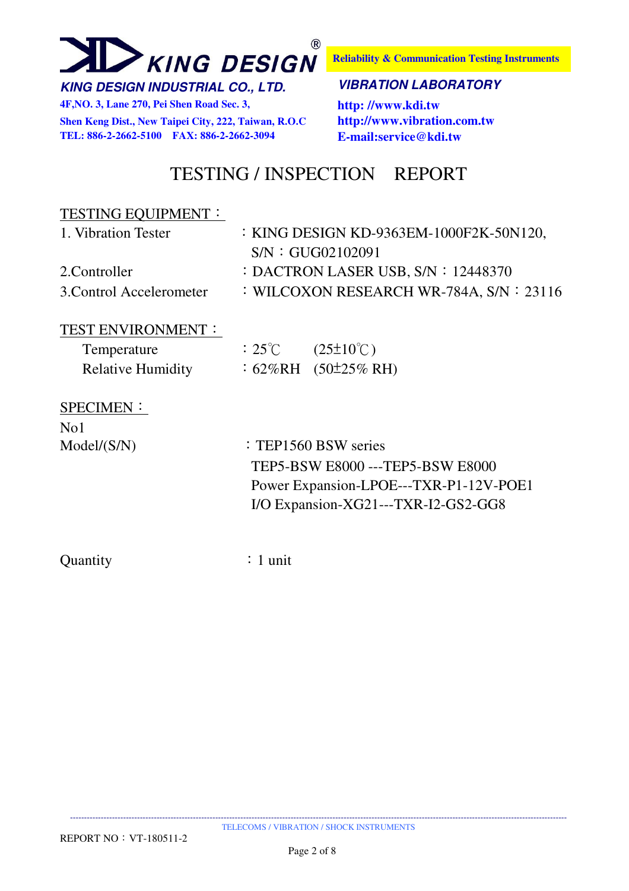

**4F,NO. 3, Lane 270, Pei Shen Road Sec. 3, http: //www.kdi.tw Shen Keng Dist., New Taipei City, 222, Taiwan, R.O.C http://www.vibration.com.tw** 

**Reliability & Communication Testing Instruments**

#### **KING DESIGN INDUSTRIAL CO., LTD. VIBRATION LABORATORY**

**TEL: 886-2-2662-5100 FAX: 886-2-2662-3094 E-mail:service@kdi.tw**

### TESTING / INSPECTION REPORT

#### TESTING EQUIPMENT:

| : KING DESIGN KD-9363EM-1000F2K-50N120,    |
|--------------------------------------------|
| SNN: GUG02102091                           |
| : DACTRON LASER USB, $S/N$ : 12448370      |
| : WILCOXON RESEARCH WR-784A, $S/N$ : 23116 |
|                                            |

#### TEST ENVIRONMENT:

| Temperature              | $:25^{\circ}\mathrm{C}$ | $(25\pm10^{\circ}\text{C})$ |
|--------------------------|-------------------------|-----------------------------|
| <b>Relative Humidity</b> |                         | : $62\%RH$ $(50\pm25\%RH)$  |

#### SPECIMEN:

No1

Model/(S/N) : TEP1560 BSW series TEP5-BSW E8000 ---TEP5-BSW E8000 Power Expansion-LPOE---TXR-P1-12V-POE1 I/O Expansion-XG21---TXR-I2-GS2-GG8

Quantity : 1 unit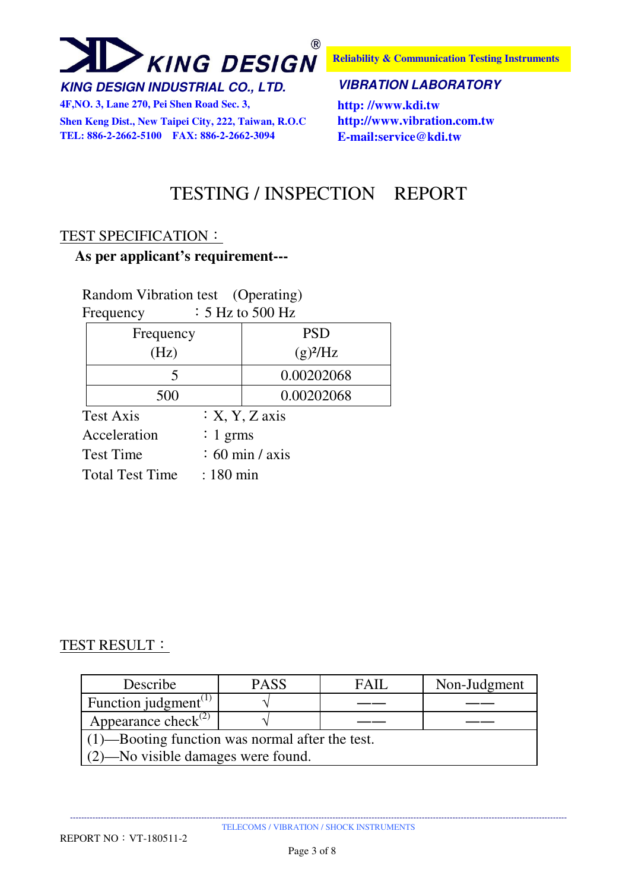

**4F,NO. 3, Lane 270, Pei Shen Road Sec. 3, http: //www.kdi.tw Shen Keng Dist., New Taipei City, 222, Taiwan, R.O.C http://www.vibration.com.tw TEL: 886-2-2662-5100 FAX: 886-2-2662-3094 E-mail:service@kdi.tw**

**Reliability & Communication Testing Instruments**

#### **KING DESIGN INDUSTRIAL CO., LTD. VIBRATION LABORATORY**

### TESTING / INSPECTION REPORT

#### TEST SPECIFICATION:

#### **As per applicant's requirement---**

#### Random Vibration test (Operating) Frequency  $\qquad$  : 5 Hz to 500 Hz

| 1 reguency       |             | $\sim$ 112 to 900 112    |
|------------------|-------------|--------------------------|
| Frequency        |             | <b>PSD</b>               |
| (Hz)             |             | $(g)^2$ /Hz              |
| 5                |             | 0.00202068               |
| 500              |             | 0.00202068               |
| Test Axis        |             | $: X, Y, Z \text{ axis}$ |
| Acceleration     | : 1 grms    |                          |
| <b>Test Time</b> |             | $\div$ 60 min / axis     |
| Total Test Time  | $: 180$ min |                          |

#### TEST RESULT:

| Describe                                           | <b>PASS</b> | <b>FAIL</b> | Non-Judgment |  |  |  |  |
|----------------------------------------------------|-------------|-------------|--------------|--|--|--|--|
| Function judgment <sup>(1)</sup>                   |             |             |              |  |  |  |  |
| Appearance check <sup>(2)</sup>                    |             |             |              |  |  |  |  |
| $(1)$ —Booting function was normal after the test. |             |             |              |  |  |  |  |
| (2)—No visible damages were found.                 |             |             |              |  |  |  |  |

---------------------------------------------------------------------------------------------------------------------------------------------------------------------------------- TELECOMS / VIBRATION / SHOCK INSTRUMENTS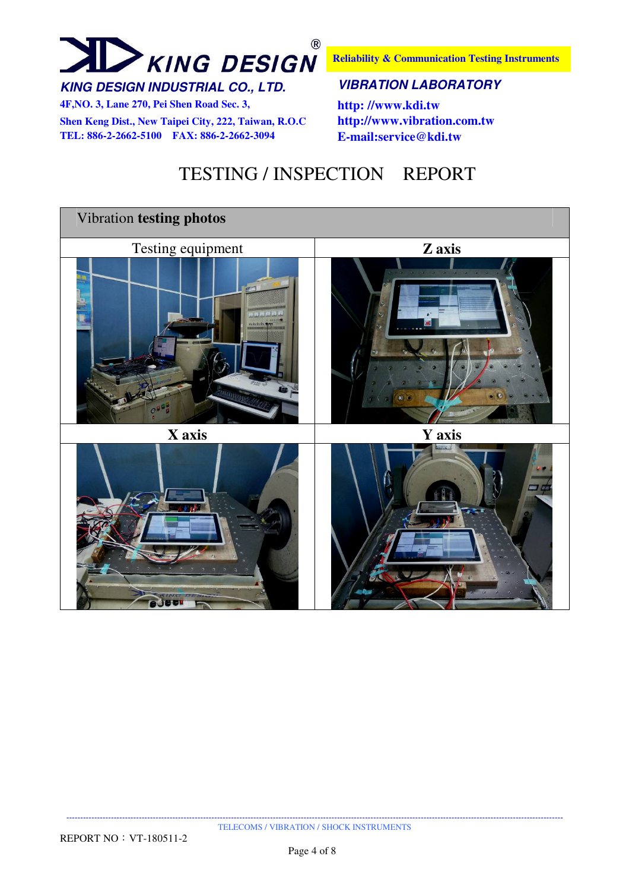# $\circledR$ **XING DESIGN**

**4F,NO. 3, Lane 270, Pei Shen Road Sec. 3, http: //www.kdi.tw**

**Shen Keng Dist., New Taipei City, 222, Taiwan, R.O.C http://www.vibration.com.tw TEL: 886-2-2662-5100 FAX: 886-2-2662-3094 E-mail:service@kdi.tw**

**Reliability & Communication Testing Instruments**

#### **KING DESIGN INDUSTRIAL CO., LTD. VIBRATION LABORATORY**

## TESTING / INSPECTION REPORT

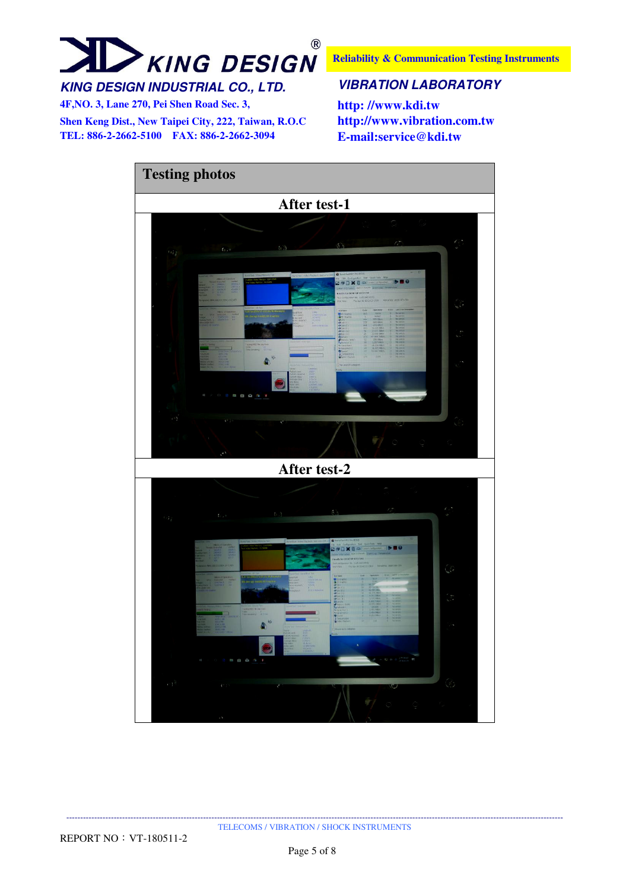# $^{\circledR}$ **XING DESIGN**

**Reliability & Communication Testing Instruments**

### **KING DESIGN INDUSTRIAL CO., LTD. VIBRATION LABORATORY**

**4F,NO. 3, Lane 270, Pei Shen Road Sec. 3, http: //www.kdi.tw**

**Shen Keng Dist., New Taipei City, 222, Taiwan, R.O.C http://www.vibration.com.tw TEL: 886-2-2662-5100 FAX: 886-2-2662-3094 E-mail:service@kdi.tw**

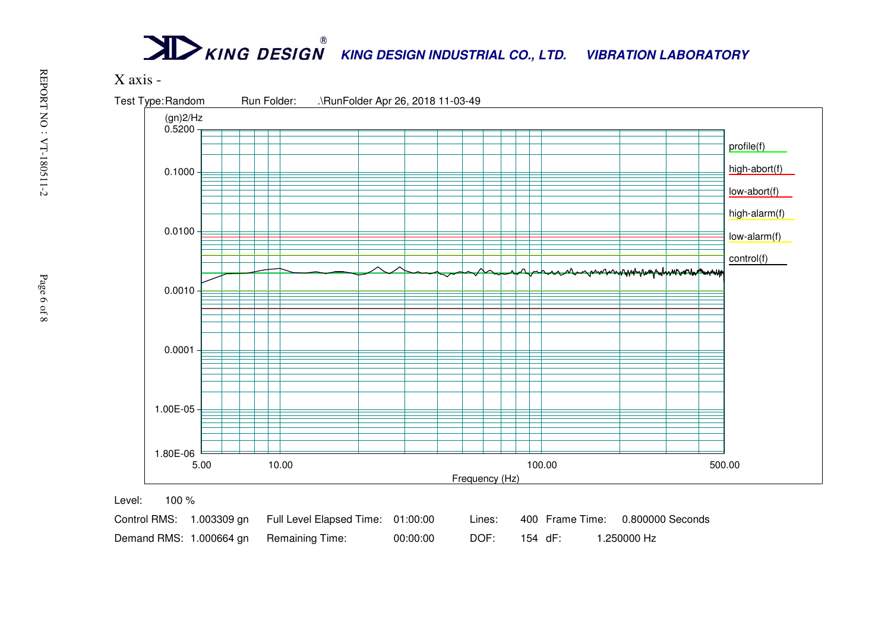# **KING DESIGN INDUSTRIAL CO., LTD. VIBRATION LABORATORY**



|  | Control RMS: 1.003309 gn Full Level Elapsed Time: 01:00:00 |          | Lines: |         |  | 400 Frame Time: 0.800000 Seconds |
|--|------------------------------------------------------------|----------|--------|---------|--|----------------------------------|
|  | Demand RMS: 1.000664 gn Remaining Time:                    | 00:00:00 | DOF:   | 154 dF: |  | 1.250000 Hz                      |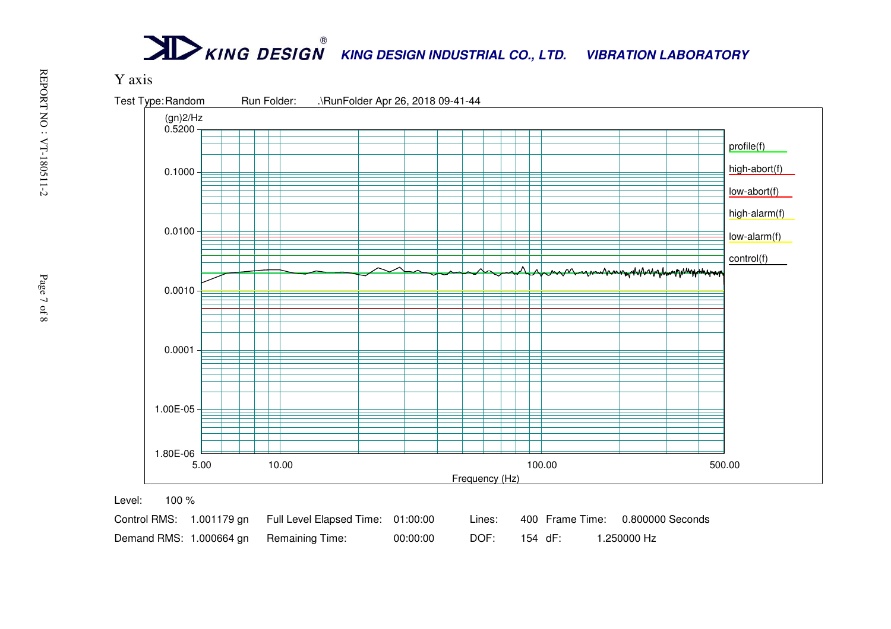# **KING DESIGN INDUSTRIAL CO., LTD. VIBRATION LABORATORY**



|  | Control RMS: 1.001179 gn Full Level Elapsed Time: 01:00:00 |          | Lines: |         |  | 400 Frame Time: 0.800000 Seconds |
|--|------------------------------------------------------------|----------|--------|---------|--|----------------------------------|
|  | Demand RMS: 1.000664 gn Remaining Time:                    | 00:00:00 | DOF:   | 154 dF: |  | 1.250000 Hz                      |